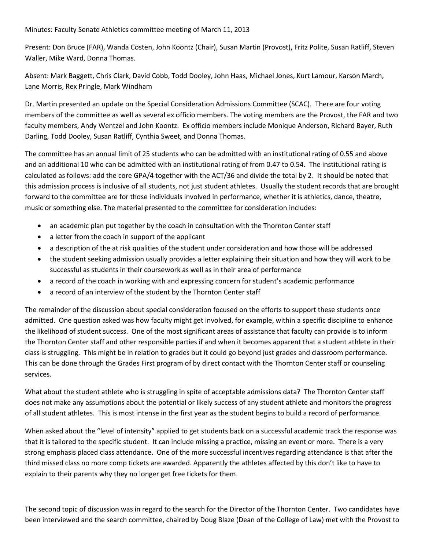## Minutes: Faculty Senate Athletics committee meeting of March 11, 2013

Present: Don Bruce (FAR), Wanda Costen, John Koontz (Chair), Susan Martin (Provost), Fritz Polite, Susan Ratliff, Steven Waller, Mike Ward, Donna Thomas.

Absent: Mark Baggett, Chris Clark, David Cobb, Todd Dooley, John Haas, Michael Jones, Kurt Lamour, Karson March, Lane Morris, Rex Pringle, Mark Windham

Dr. Martin presented an update on the Special Consideration Admissions Committee (SCAC). There are four voting members of the committee as well as several ex officio members. The voting members are the Provost, the FAR and two faculty members, Andy Wentzel and John Koontz. Ex officio members include Monique Anderson, Richard Bayer, Ruth Darling, Todd Dooley, Susan Ratliff, Cynthia Sweet, and Donna Thomas.

The committee has an annual limit of 25 students who can be admitted with an institutional rating of 0.55 and above and an additional 10 who can be admitted with an institutional rating of from 0.47 to 0.54. The institutional rating is calculated as follows: add the core GPA/4 together with the ACT/36 and divide the total by 2. It should be noted that this admission process is inclusive of all students, not just student athletes. Usually the student records that are brought forward to the committee are for those individuals involved in performance, whether it is athletics, dance, theatre, music or something else. The material presented to the committee for consideration includes:

- an academic plan put together by the coach in consultation with the Thornton Center staff
- a letter from the coach in support of the applicant
- a description of the at risk qualities of the student under consideration and how those will be addressed
- the student seeking admission usually provides a letter explaining their situation and how they will work to be successful as students in their coursework as well as in their area of performance
- a record of the coach in working with and expressing concern for student's academic performance
- a record of an interview of the student by the Thornton Center staff

The remainder of the discussion about special consideration focused on the efforts to support these students once admitted. One question asked was how faculty might get involved, for example, within a specific discipline to enhance the likelihood of student success. One of the most significant areas of assistance that faculty can provide is to inform the Thornton Center staff and other responsible parties if and when it becomes apparent that a student athlete in their class is struggling. This might be in relation to grades but it could go beyond just grades and classroom performance. This can be done through the Grades First program of by direct contact with the Thornton Center staff or counseling services.

What about the student athlete who is struggling in spite of acceptable admissions data? The Thornton Center staff does not make any assumptions about the potential or likely success of any student athlete and monitors the progress of all student athletes. This is most intense in the first year as the student begins to build a record of performance.

When asked about the "level of intensity" applied to get students back on a successful academic track the response was that it is tailored to the specific student. It can include missing a practice, missing an event or more. There is a very strong emphasis placed class attendance. One of the more successful incentives regarding attendance is that after the third missed class no more comp tickets are awarded. Apparently the athletes affected by this don't like to have to explain to their parents why they no longer get free tickets for them.

The second topic of discussion was in regard to the search for the Director of the Thornton Center. Two candidates have been interviewed and the search committee, chaired by Doug Blaze (Dean of the College of Law) met with the Provost to